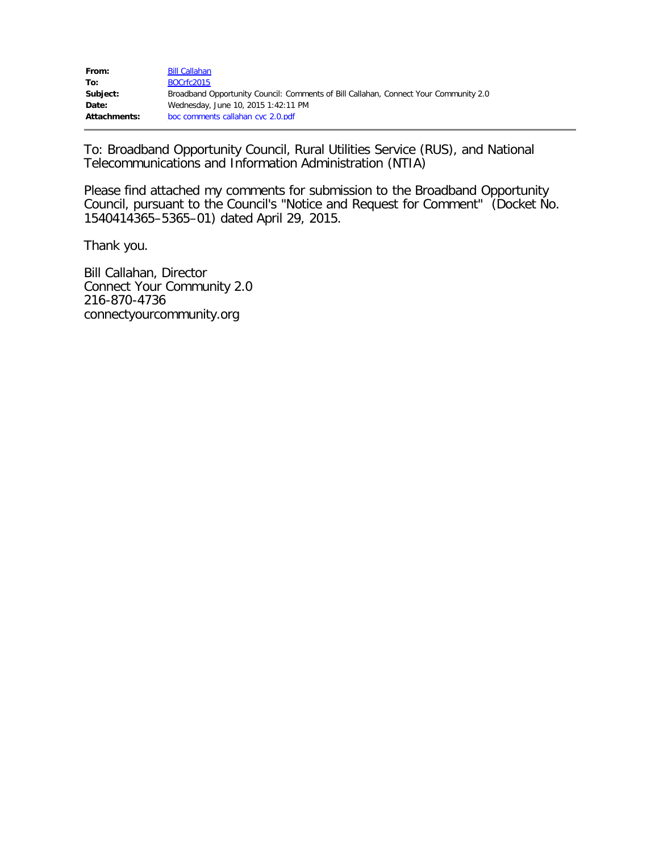| From:        | <b>Bill Callahan</b>                                                                 |
|--------------|--------------------------------------------------------------------------------------|
| To:          | BOCrfc2015                                                                           |
| Subject:     | Broadband Opportunity Council: Comments of Bill Callahan, Connect Your Community 2.0 |
| Date:        | Wednesday, June 10, 2015 1:42:11 PM                                                  |
| Attachments: | boc comments callahan cyc 2.0.pdf                                                    |

To: Broadband Opportunity Council, Rural Utilities Service (RUS), and National Telecommunications and Information Administration (NTIA)

Please find attached my comments for submission to the Broadband Opportunity Council, pursuant to the Council's "Notice and Request for Comment" (Docket No. 1540414365–5365–01) dated April 29, 2015.

Thank you.

Bill Callahan, Director Connect Your Community 2.0 216-870-4736 connectyourcommunity.org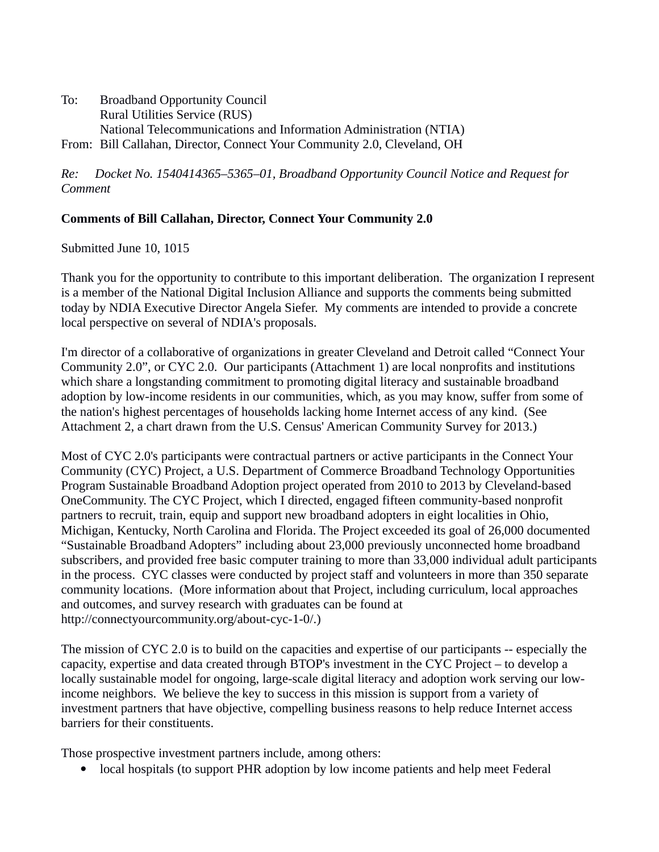To: Broadband Opportunity Council Rural Utilities Service (RUS) National Telecommunications and Information Administration (NTIA) From: Bill Callahan, Director, Connect Your Community 2.0, Cleveland, OH

*Re: Docket No. 1540414365–5365–01, Broadband Opportunity Council Notice and Request for Comment*

## **Comments of Bill Callahan, Director, Connect Your Community 2.0**

Submitted June 10, 1015

Thank you for the opportunity to contribute to this important deliberation. The organization I represent is a member of the National Digital Inclusion Alliance and supports the comments being submitted today by NDIA Executive Director Angela Siefer. My comments are intended to provide a concrete local perspective on several of NDIA's proposals.

I'm director of a collaborative of organizations in greater Cleveland and Detroit called "Connect Your Community 2.0", or CYC 2.0. Our participants (Attachment 1) are local nonprofits and institutions which share a longstanding commitment to promoting digital literacy and sustainable broadband adoption by low-income residents in our communities, which, as you may know, suffer from some of the nation's highest percentages of households lacking home Internet access of any kind. (See Attachment 2, a chart drawn from the U.S. Census' American Community Survey for 2013.)

Most of CYC 2.0's participants were contractual partners or active participants in the Connect Your Community (CYC) Project, a U.S. Department of Commerce Broadband Technology Opportunities Program Sustainable Broadband Adoption project operated from 2010 to 2013 by Cleveland-based OneCommunity. The CYC Project, which I directed, engaged fifteen community-based nonprofit partners to recruit, train, equip and support new broadband adopters in eight localities in Ohio, Michigan, Kentucky, North Carolina and Florida. The Project exceeded its goal of 26,000 documented "Sustainable Broadband Adopters" including about 23,000 previously unconnected home broadband subscribers, and provided free basic computer training to more than 33,000 individual adult participants in the process. CYC classes were conducted by project staff and volunteers in more than 350 separate community locations. (More information about that Project, including curriculum, local approaches and outcomes, and survey research with graduates can be found at http://connectyourcommunity.org/about-cyc-1-0/.)

The mission of CYC 2.0 is to build on the capacities and expertise of our participants -- especially the capacity, expertise and data created through BTOP's investment in the CYC Project – to develop a locally sustainable model for ongoing, large-scale digital literacy and adoption work serving our lowincome neighbors. We believe the key to success in this mission is support from a variety of investment partners that have objective, compelling business reasons to help reduce Internet access barriers for their constituents.

Those prospective investment partners include, among others:

local hospitals (to support PHR adoption by low income patients and help meet Federal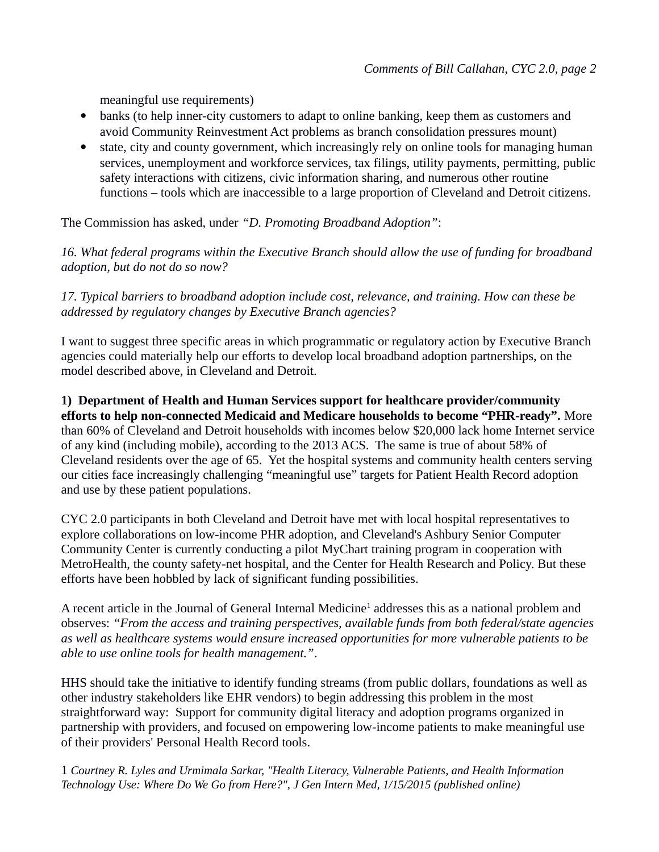meaningful use requirements)

- banks (to help inner-city customers to adapt to online banking, keep them as customers and avoid Community Reinvestment Act problems as branch consolidation pressures mount)
- state, city and county government, which increasingly rely on online tools for managing human services, unemployment and workforce services, tax filings, utility payments, permitting, public safety interactions with citizens, civic information sharing, and numerous other routine functions – tools which are inaccessible to a large proportion of Cleveland and Detroit citizens.

The Commission has asked, under *"D. Promoting Broadband Adoption"*:

*16. What federal programs within the Executive Branch should allow the use of funding for broadband adoption, but do not do so now?*

*17. Typical barriers to broadband adoption include cost, relevance, and training. How can these be addressed by regulatory changes by Executive Branch agencies?*

I want to suggest three specific areas in which programmatic or regulatory action by Executive Branch agencies could materially help our efforts to develop local broadband adoption partnerships, on the model described above, in Cleveland and Detroit.

**1) Department of Health and Human Services support for healthcare provider/community efforts to help non-connected Medicaid and Medicare households to become "PHR-ready".** More than 60% of Cleveland and Detroit households with incomes below \$20,000 lack home Internet service of any kind (including mobile), according to the 2013 ACS. The same is true of about 58% of Cleveland residents over the age of 65. Yet the hospital systems and community health centers serving our cities face increasingly challenging "meaningful use" targets for Patient Health Record adoption and use by these patient populations.

CYC 2.0 participants in both Cleveland and Detroit have met with local hospital representatives to explore collaborations on low-income PHR adoption, and Cleveland's Ashbury Senior Computer Community Center is currently conducting a pilot MyChart training program in cooperation with MetroHealth, the county safety-net hospital, and the Center for Health Research and Policy. But these efforts have been hobbled by lack of significant funding possibilities.

A recent article in the Journal of General Internal Medicine<sup>[1](#page-2-0)</sup> addresses this as a national problem and observes: *"From the access and training perspectives, available funds from both federal/state agencies as well as healthcare systems would ensure increased opportunities for more vulnerable patients to be able to use online tools for health management."*.

HHS should take the initiative to identify funding streams (from public dollars, foundations as well as other industry stakeholders like EHR vendors) to begin addressing this problem in the most straightforward way: Support for community digital literacy and adoption programs organized in partnership with providers, and focused on empowering low-income patients to make meaningful use of their providers' Personal Health Record tools.

<span id="page-2-0"></span>1 *Courtney R. Lyles and Urmimala Sarkar, "Health Literacy, Vulnerable Patients, and Health Information Technology Use: Where Do We Go from Here?", J Gen Intern Med, 1/15/2015 (published online)*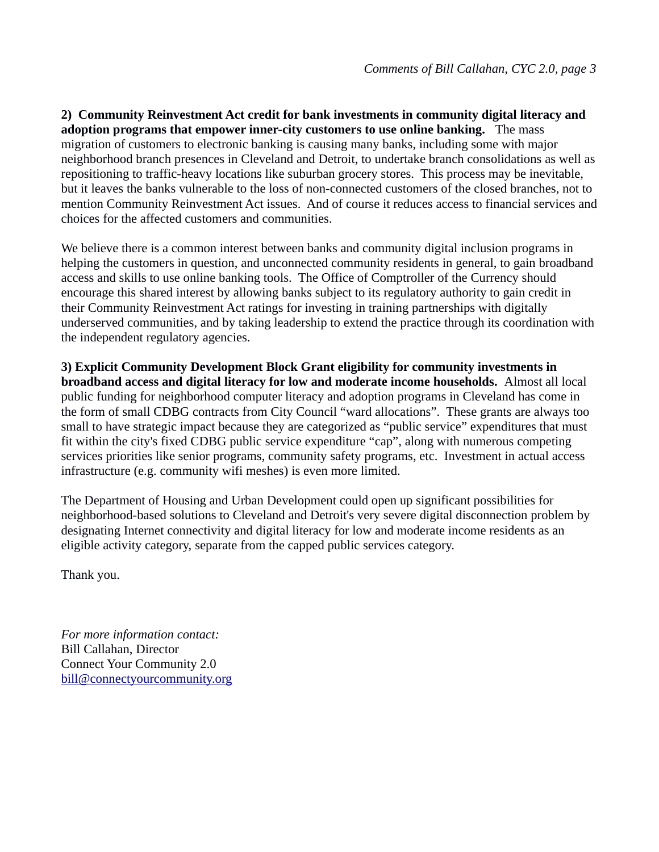**2) Community Reinvestment Act credit for bank investments in community digital literacy and adoption programs that empower inner-city customers to use online banking.** The mass migration of customers to electronic banking is causing many banks, including some with major neighborhood branch presences in Cleveland and Detroit, to undertake branch consolidations as well as repositioning to traffic-heavy locations like suburban grocery stores. This process may be inevitable, but it leaves the banks vulnerable to the loss of non-connected customers of the closed branches, not to mention Community Reinvestment Act issues. And of course it reduces access to financial services and choices for the affected customers and communities.

We believe there is a common interest between banks and community digital inclusion programs in helping the customers in question, and unconnected community residents in general, to gain broadband access and skills to use online banking tools. The Office of Comptroller of the Currency should encourage this shared interest by allowing banks subject to its regulatory authority to gain credit in their Community Reinvestment Act ratings for investing in training partnerships with digitally underserved communities, and by taking leadership to extend the practice through its coordination with the independent regulatory agencies.

**3) Explicit Community Development Block Grant eligibility for community investments in broadband access and digital literacy for low and moderate income households.** Almost all local public funding for neighborhood computer literacy and adoption programs in Cleveland has come in the form of small CDBG contracts from City Council "ward allocations". These grants are always too small to have strategic impact because they are categorized as "public service" expenditures that must fit within the city's fixed CDBG public service expenditure "cap", along with numerous competing services priorities like senior programs, community safety programs, etc. Investment in actual access infrastructure (e.g. community wifi meshes) is even more limited.

The Department of Housing and Urban Development could open up significant possibilities for neighborhood-based solutions to Cleveland and Detroit's very severe digital disconnection problem by designating Internet connectivity and digital literacy for low and moderate income residents as an eligible activity category, separate from the capped public services category.

Thank you.

*For more information contact:* Bill Callahan, Director Connect Your Community 2.0 [bill@connectyourcommunity.org](mailto:bill@connectyourcommunity.org)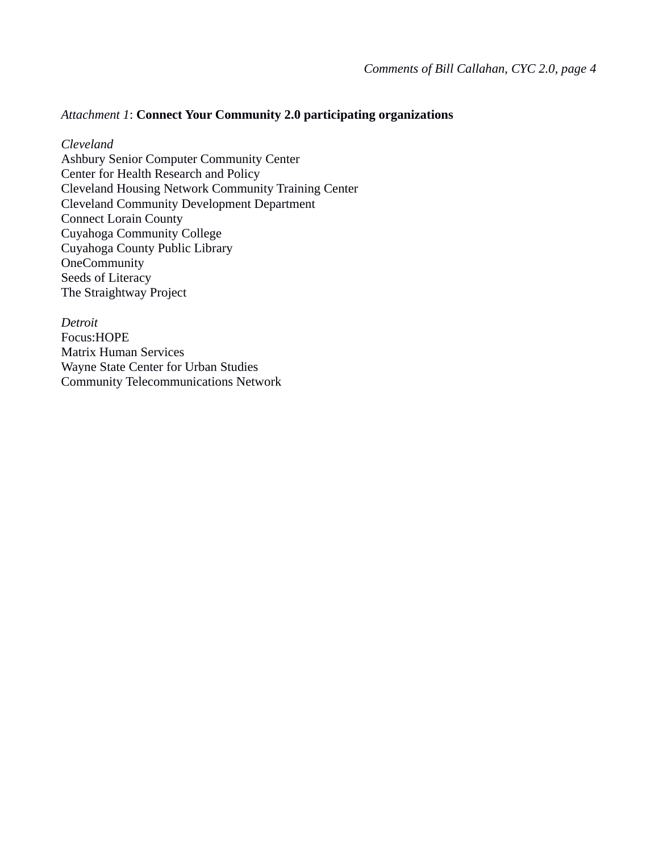## *Attachment 1*: **Connect Your Community 2.0 participating organizations**

*Cleveland* Ashbury Senior Computer Community Center Center for Health Research and Policy Cleveland Housing Network Community Training Center Cleveland Community Development Department Connect Lorain County Cuyahoga Community College Cuyahoga County Public Library **OneCommunity** Seeds of Literacy The Straightway Project

*Detroit* Focus:HOPE Matrix Human Services Wayne State Center for Urban Studies Community Telecommunications Network